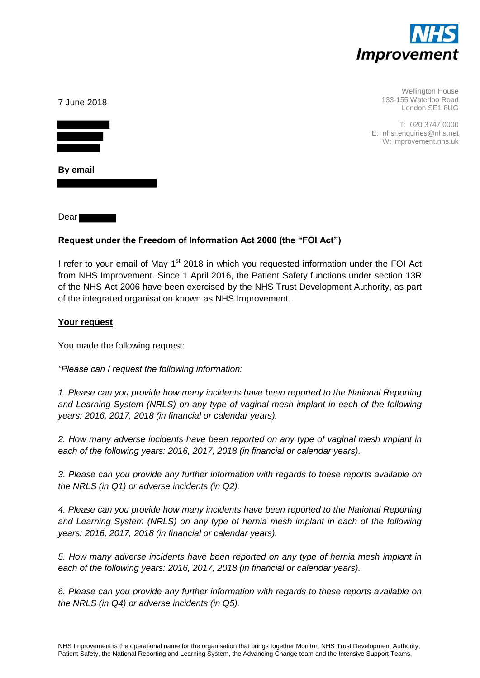

| 7 June 2018 | Wellington House<br>133-155 Waterloo Road<br>London SE1 8UG            |
|-------------|------------------------------------------------------------------------|
|             | T: 020 3747 0000<br>E: nhsi.enquiries@nhs.net<br>W: improvement.nhs.uk |
| By email    |                                                                        |

**Dear** 

#### **Request under the Freedom of Information Act 2000 (the "FOI Act")**

I refer to your email of May  $1<sup>st</sup>$  2018 in which you requested information under the FOI Act from NHS Improvement. Since 1 April 2016, the Patient Safety functions under section 13R of the NHS Act 2006 have been exercised by the NHS Trust Development Authority, as part of the integrated organisation known as NHS Improvement.

#### **Your request**

You made the following request:

*"Please can I request the following information:* 

*1. Please can you provide how many incidents have been reported to the National Reporting and Learning System (NRLS) on any type of vaginal mesh implant in each of the following years: 2016, 2017, 2018 (in financial or calendar years).* 

*2. How many adverse incidents have been reported on any type of vaginal mesh implant in each of the following years: 2016, 2017, 2018 (in financial or calendar years).* 

*3. Please can you provide any further information with regards to these reports available on the NRLS (in Q1) or adverse incidents (in Q2).* 

*4. Please can you provide how many incidents have been reported to the National Reporting and Learning System (NRLS) on any type of hernia mesh implant in each of the following years: 2016, 2017, 2018 (in financial or calendar years).* 

*5. How many adverse incidents have been reported on any type of hernia mesh implant in each of the following years: 2016, 2017, 2018 (in financial or calendar years).* 

*6. Please can you provide any further information with regards to these reports available on the NRLS (in Q4) or adverse incidents (in Q5).*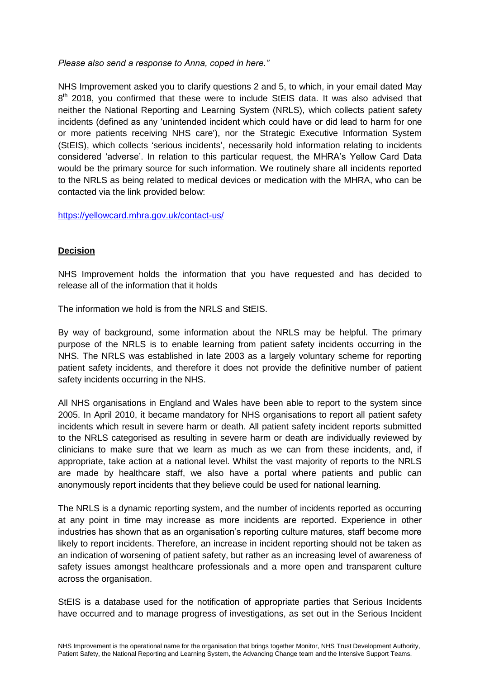*Please also send a response to Anna, coped in here."*

NHS Improvement asked you to clarify questions 2 and 5, to which, in your email dated May 8<sup>th</sup> 2018, you confirmed that these were to include StEIS data. It was also advised that neither the National Reporting and Learning System (NRLS), which collects patient safety incidents (defined as any 'unintended incident which could have or did lead to harm for one or more patients receiving NHS care'), nor the Strategic Executive Information System (StEIS), which collects 'serious incidents', necessarily hold information relating to incidents considered 'adverse'. In relation to this particular request, the MHRA's Yellow Card Data would be the primary source for such information. We routinely share all incidents reported to the NRLS as being related to medical devices or medication with the MHRA, who can be contacted via the link provided below:

https://yellowcard.mhra.gov.uk/contact-us/

### **Decision**

NHS Improvement holds the information that you have requested and has decided to release all of the information that it holds

The information we hold is from the NRLS and StEIS.

By way of background, some information about the NRLS may be helpful. The primary purpose of the NRLS is to enable learning from patient safety incidents occurring in the NHS. The NRLS was established in late 2003 as a largely voluntary scheme for reporting patient safety incidents, and therefore it does not provide the definitive number of patient safety incidents occurring in the NHS.

All NHS organisations in England and Wales have been able to report to the system since 2005. In April 2010, it became mandatory for NHS organisations to report all patient safety incidents which result in severe harm or death. All patient safety incident reports submitted to the NRLS categorised as resulting in severe harm or death are individually reviewed by clinicians to make sure that we learn as much as we can from these incidents, and, if appropriate, take action at a national level. Whilst the vast majority of reports to the NRLS are made by healthcare staff, we also have a portal where patients and public can anonymously report incidents that they believe could be used for national learning.

The NRLS is a dynamic reporting system, and the number of incidents reported as occurring at any point in time may increase as more incidents are reported. Experience in other industries has shown that as an organisation's reporting culture matures, staff become more likely to report incidents. Therefore, an increase in incident reporting should not be taken as an indication of worsening of patient safety, but rather as an increasing level of awareness of safety issues amongst healthcare professionals and a more open and transparent culture across the organisation.

StEIS is a database used for the notification of appropriate parties that Serious Incidents have occurred and to manage progress of investigations, as set out in the Serious Incident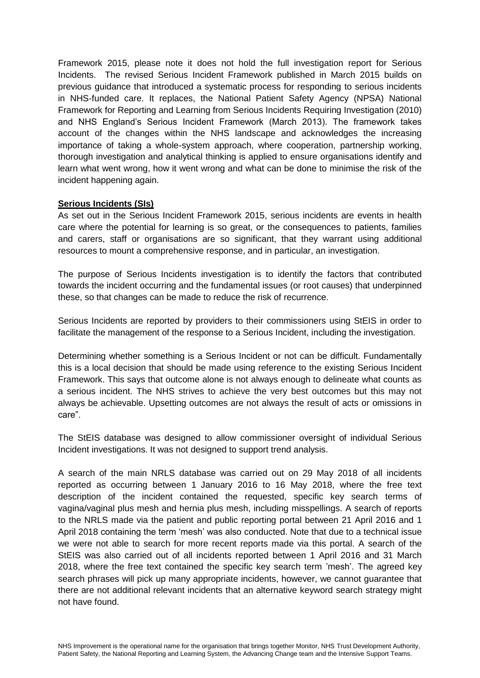Framework 2015, please note it does not hold the full investigation report for Serious Incidents. The revised Serious Incident Framework published in March 2015 builds on previous guidance that introduced a systematic process for responding to serious incidents in NHS-funded care. It replaces, the National Patient Safety Agency (NPSA) National Framework for Reporting and Learning from Serious Incidents Requiring Investigation (2010) and NHS England's Serious Incident Framework (March 2013). The framework takes account of the changes within the NHS landscape and acknowledges the increasing importance of taking a whole-system approach, where cooperation, partnership working, thorough investigation and analytical thinking is applied to ensure organisations identify and learn what went wrong, how it went wrong and what can be done to minimise the risk of the incident happening again.

### **Serious Incidents (SIs)**

As set out in the Serious Incident Framework 2015, serious incidents are events in health care where the potential for learning is so great, or the consequences to patients, families and carers, staff or organisations are so significant, that they warrant using additional resources to mount a comprehensive response, and in particular, an investigation.

The purpose of Serious Incidents investigation is to identify the factors that contributed towards the incident occurring and the fundamental issues (or root causes) that underpinned these, so that changes can be made to reduce the risk of recurrence.

Serious Incidents are reported by providers to their commissioners using StEIS in order to facilitate the management of the response to a Serious Incident, including the investigation.

Determining whether something is a Serious Incident or not can be difficult. Fundamentally this is a local decision that should be made using reference to the existing Serious Incident Framework. This says that outcome alone is not always enough to delineate what counts as a serious incident. The NHS strives to achieve the very best outcomes but this may not always be achievable. Upsetting outcomes are not always the result of acts or omissions in care".

The StEIS database was designed to allow commissioner oversight of individual Serious Incident investigations. It was not designed to support trend analysis.

A search of the main NRLS database was carried out on 29 May 2018 of all incidents reported as occurring between 1 January 2016 to 16 May 2018, where the free text description of the incident contained the requested, specific key search terms of vagina/vaginal plus mesh and hernia plus mesh, including misspellings. A search of reports to the NRLS made via the patient and public reporting portal between 21 April 2016 and 1 April 2018 containing the term 'mesh' was also conducted. Note that due to a technical issue we were not able to search for more recent reports made via this portal. A search of the StEIS was also carried out of all incidents reported between 1 April 2016 and 31 March 2018, where the free text contained the specific key search term 'mesh'. The agreed key search phrases will pick up many appropriate incidents, however, we cannot guarantee that there are not additional relevant incidents that an alternative keyword search strategy might not have found.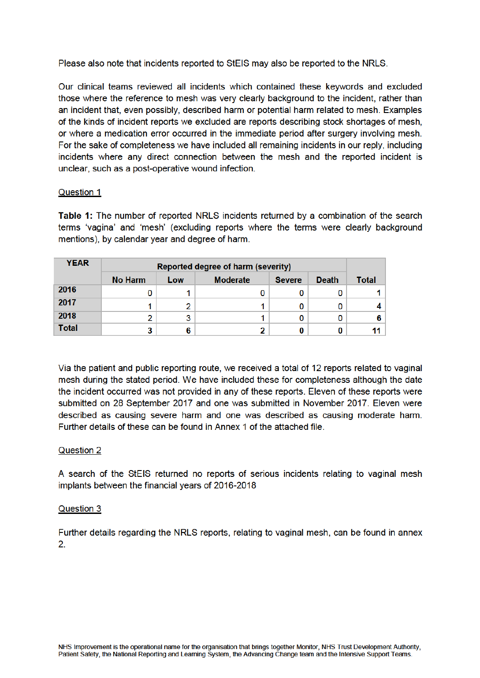Please also note that incidents reported to StEIS may also be reported to the NRLS.

Our clinical teams reviewed all incidents which contained these keywords and excluded those where the reference to mesh was very clearly background to the incident, rather than an incident that, even possibly, described harm or potential harm related to mesh. Examples of the kinds of incident reports we excluded are reports describing stock shortages of mesh. or where a medication error occurred in the immediate period after surgery involving mesh. For the sake of completeness we have included all remaining incidents in our reply, including incidents where any direct connection between the mesh and the reported incident is unclear, such as a post-operative wound infection.

### Question 1

Table 1: The number of reported NRLS incidents returned by a combination of the search terms 'vagina' and 'mesh' (excluding reports where the terms were clearly background mentions), by calendar year and degree of harm.

| <b>YEAR</b>  | <b>Reported degree of harm (severity)</b> |     |                 |               |              |              |
|--------------|-------------------------------------------|-----|-----------------|---------------|--------------|--------------|
|              | <b>No Harm</b>                            | Low | <b>Moderate</b> | <b>Severe</b> | <b>Death</b> | <b>Total</b> |
| 2016         |                                           |     |                 |               |              |              |
| 2017         |                                           | 2   |                 |               | 0            |              |
| 2018         |                                           | 3   |                 |               | 0            | 6            |
| <b>Total</b> |                                           | 6   |                 |               | 0            | 11           |

Via the patient and public reporting route, we received a total of 12 reports related to vaginal mesh during the stated period. We have included these for completeness although the date the incident occurred was not provided in any of these reports. Eleven of these reports were submitted on 28 September 2017 and one was submitted in November 2017. Eleven were described as causing severe harm and one was described as causing moderate harm. Further details of these can be found in Annex 1 of the attached file.

### **Question 2**

A search of the StEIS returned no reports of serious incidents relating to vaginal mesh implants between the financial years of 2016-2018

### Question 3

Further details regarding the NRLS reports, relating to vaginal mesh, can be found in annex  $2.$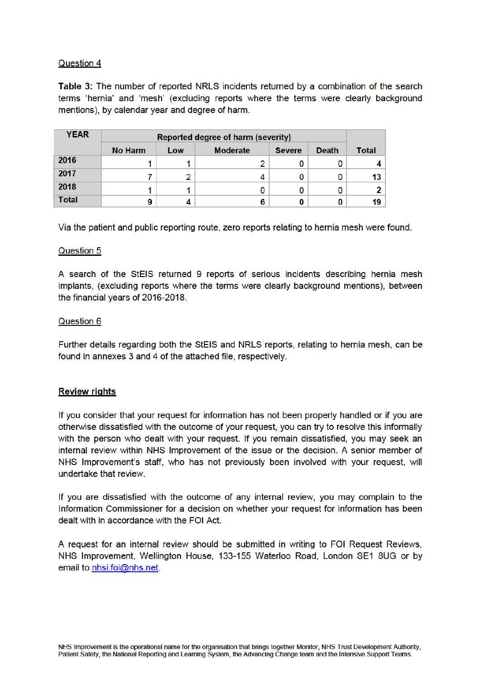## Question 4

Table 3: The number of reported NRLS incidents returned by a combination of the search terms 'hernia' and 'mesh' (excluding reports where the terms were clearly background mentions), by calendar year and degree of harm.

| <b>YEAR</b>  | <b>Reported degree of harm (severity)</b> |     |                 |               |              |                 |
|--------------|-------------------------------------------|-----|-----------------|---------------|--------------|-----------------|
|              | <b>No Harm</b>                            | Low | <b>Moderate</b> | <b>Severe</b> | <b>Death</b> | <b>Total</b>    |
| 2016         |                                           |     |                 |               |              |                 |
| 2017         |                                           | 2   |                 |               | 0            | 13              |
| 2018         |                                           |     |                 |               | 0            | 21              |
| <b>Total</b> | 9                                         |     |                 |               |              | 19 <sup>°</sup> |

Via the patient and public reporting route, zero reports relating to hernia mesh were found.

## Question 5

A search of the StEIS returned 9 reports of serious incidents describing hernia mesh implants, (excluding reports where the terms were clearly background mentions), between the financial years of 2016-2018.

## **Question 6**

Further details regarding both the StEIS and NRLS reports, relating to hernia mesh, can be found in annexes 3 and 4 of the attached file, respectively.

### **Review rights**

If you consider that your request for information has not been properly handled or if you are otherwise dissatisfied with the outcome of your request, you can try to resolve this informally with the person who dealt with your request. If you remain dissatisfied, you may seek an internal review within NHS Improvement of the issue or the decision. A senior member of NHS Improvement's staff, who has not previously been involved with your request, will undertake that review.

If you are dissatisfied with the outcome of any internal review, you may complain to the Information Commissioner for a decision on whether your request for information has been dealt with in accordance with the FOI Act.

A request for an internal review should be submitted in writing to FOI Request Reviews. NHS Improvement, Wellington House, 133-155 Waterloo Road, London SE1 8UG or by email to nhsi.foi@nhs.net.